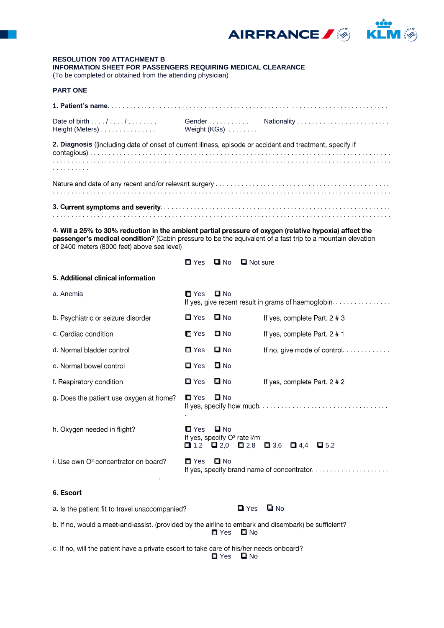

# **RESOLUTION 700 ATTACHMENT B** INFORMATION SHEET FOR PASSENGERS REQUIRING MEDICAL CLEARANCE

(To be completed or obtained from the attending physician)

### **PART ONE**

| Height (Meters)  Weight (KGs)                                                                            |  |
|----------------------------------------------------------------------------------------------------------|--|
| 2. Diagnosis ((including date of onset of current illness, episode or accident and treatment, specify if |  |
|                                                                                                          |  |

| ٠ |  | . . | . |  | . . | ٠ |
|---|--|-----|---|--|-----|---|

4. Will a 25% to 30% reduction in the ambient partial pressure of oxygen (relative hypoxia) affect the passenger's medical condition? (Cabin pressure to be the equivalent of a fast trip to a mountain elevation of 2400 meters (8000 feet) above sea level)

> $\blacksquare$  Yes  $\blacksquare$  No  $\blacksquare$  Not sure

#### 5. Additional clinical information

| a. Anemia                                                                                           | $\blacksquare$ Yes                                                                           | <b>□</b> No        |                    |                       | If yes, give recent result in grams of haemoglobin. |
|-----------------------------------------------------------------------------------------------------|----------------------------------------------------------------------------------------------|--------------------|--------------------|-----------------------|-----------------------------------------------------|
| b. Psychiatric or seizure disorder                                                                  | $\blacksquare$ Yes                                                                           | $\blacksquare$ No  |                    |                       | If yes, complete Part. 2 # 3                        |
| c. Cardiac condition                                                                                | $\blacksquare$ Yes                                                                           | $\square$ No       |                    |                       | If yes, complete Part. 2 # 1                        |
| d. Normal bladder control                                                                           | $\blacksquare$ Yes                                                                           | $\blacksquare$ No  |                    |                       | If no, give mode of control.                        |
| e. Normal bowel control                                                                             | $\blacksquare$ Yes                                                                           | $\square$ No       |                    |                       |                                                     |
| f. Respiratory condition                                                                            | $\blacksquare$ Yes                                                                           | $\blacksquare$ No  |                    |                       | If yes, complete Part. 2 # 2                        |
| g. Does the patient use oxygen at home?                                                             | $\blacksquare$ Yes                                                                           | $\Box$ No          |                    |                       |                                                     |
| h. Oxygen needed in flight?                                                                         | $\square$ Yes<br>If yes, specify O <sup>2</sup> rate I/m<br>$\Box$ 1,2 $\Box$ 2,0 $\Box$ 2,8 | $\blacksquare$ No  |                    | $\Box$ 3,6 $\Box$ 4,4 | $\Box$ 5.2                                          |
| i. Use own O <sup>2</sup> concentrator on board?                                                    | $\blacksquare$ Yes                                                                           | $\blacksquare$ No  |                    |                       |                                                     |
| 6. Escort                                                                                           |                                                                                              |                    |                    |                       |                                                     |
| a. Is the patient fit to travel unaccompanied?                                                      |                                                                                              |                    | $\blacksquare$ Yes | $\blacksquare$ No     |                                                     |
| b. If no, would a meet-and-assist. (provided by the airline to embark and disembark) be sufficient? |                                                                                              | $\blacksquare$ Yes | $\square$ No       |                       |                                                     |

c. If no, will the patient have a private escort to take care of his/her needs onboard?  $\Box$  No  $\blacksquare$  Yes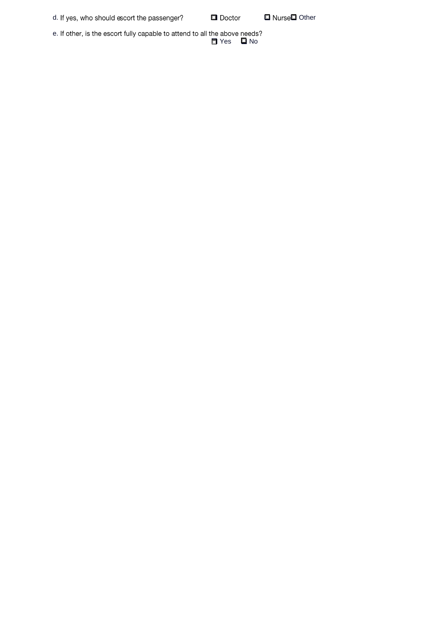d. If yes, who should escort the passenger?

 $\blacksquare$  Doctor

□ Nurse□ Other

e. If other, is the escort fully capable to attend to all the above needs?<br>  $\Box$  Yes  $\Box$  No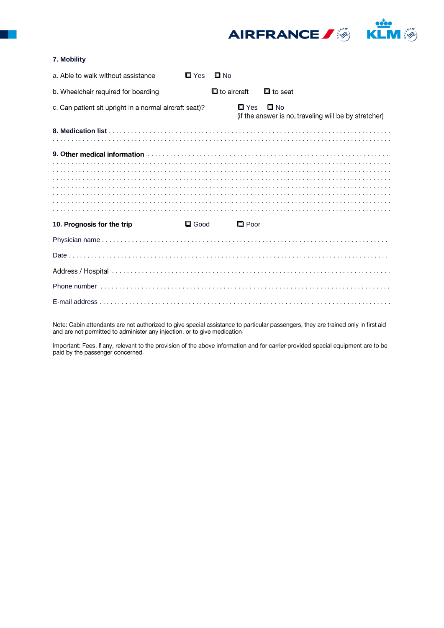AIRFRANCE / 3 K

ARAM

## 7. Mobility

| a. Able to walk without assistance                     |             | $\Box$ Yes $\Box$ No       |                                                                       |  |
|--------------------------------------------------------|-------------|----------------------------|-----------------------------------------------------------------------|--|
| b. Wheelchair required for boarding                    |             | $\blacksquare$ to aircraft | $\blacksquare$ to seat                                                |  |
| c. Can patient sit upright in a normal aircraft seat)? |             | Ш Yes                      | $\square$ No<br>(if the answer is no, traveling will be by stretcher) |  |
|                                                        |             |                            |                                                                       |  |
|                                                        |             |                            |                                                                       |  |
|                                                        |             |                            |                                                                       |  |
|                                                        |             |                            |                                                                       |  |
|                                                        |             |                            |                                                                       |  |
|                                                        |             |                            |                                                                       |  |
| 10. Prognosis for the trip                             | $\Box$ Good | $\Box$ Poor                |                                                                       |  |
|                                                        |             |                            |                                                                       |  |
|                                                        |             |                            |                                                                       |  |
|                                                        |             |                            |                                                                       |  |
|                                                        |             |                            |                                                                       |  |
|                                                        |             |                            |                                                                       |  |

Note: Cabin attendants are not authorized to give special assistance to particular passengers, they are trained only in first aid and are not permitted to administer any injection, or to give medication.

Important: Fees, if any, relevant to the provision of the above information and for carrier-provided special equipment are to be paid by the passenger concerned.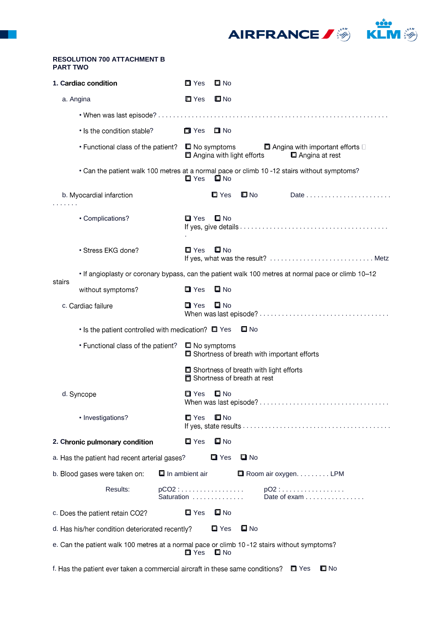

#### **RESOLUTION 700 ATTACHMENT B PART TWO**

.

|           | 1. Cardiac condition                                                                             | $\blacksquare$ Yes            | $\square$ No                                                                   |                   |                                                                          |                                    |  |
|-----------|--------------------------------------------------------------------------------------------------|-------------------------------|--------------------------------------------------------------------------------|-------------------|--------------------------------------------------------------------------|------------------------------------|--|
| a. Angina |                                                                                                  | $\blacksquare$ Yes            | $\square$ No                                                                   |                   |                                                                          |                                    |  |
|           |                                                                                                  |                               |                                                                                |                   |                                                                          |                                    |  |
|           | • Is the condition stable?                                                                       | <b>□ Yes</b>                  | $\blacksquare$ No                                                              |                   |                                                                          |                                    |  |
|           | • Functional class of the patient? $\Box$ No symptoms                                            |                               | Angina with light efforts                                                      |                   | $\blacksquare$ Angina with important efforts $\square$<br>Angina at rest |                                    |  |
|           | • Can the patient walk 100 metres at a normal pace or climb 10 -12 stairs without symptoms?      | $\blacksquare$ Yes            | <b>□</b> No                                                                    |                   |                                                                          |                                    |  |
|           | b. Myocardial infarction                                                                         |                               | $\blacksquare$ Yes                                                             | $\square$ No      |                                                                          |                                    |  |
|           | • Complications?                                                                                 | $\blacksquare$ Yes            | $\Box$ No                                                                      |                   |                                                                          |                                    |  |
|           | • Stress EKG done?                                                                               | $\Box$ Yes                    | $\square$ No                                                                   |                   |                                                                          | If yes, what was the result?  Metz |  |
| stairs    | If angioplasty or coronary bypass, can the patient walk 100 metres at normal pace or climb 10-12 |                               |                                                                                |                   |                                                                          |                                    |  |
|           | without symptoms?                                                                                | $\blacksquare$ Yes            | $\blacksquare$ No                                                              |                   |                                                                          |                                    |  |
|           | c. Cardiac failure                                                                               | $\blacksquare$ Yes            | $\blacksquare$ No                                                              |                   |                                                                          |                                    |  |
|           | $\cdot$ Is the patient controlled with medication? $\Box$ Yes                                    |                               |                                                                                | L No              |                                                                          |                                    |  |
|           | • Functional class of the patient?                                                               |                               | $\Box$ No symptoms                                                             |                   | Shortness of breath with important efforts                               |                                    |  |
|           |                                                                                                  |                               | Shortness of breath with light efforts<br><b>同</b> Shortness of breath at rest |                   |                                                                          |                                    |  |
|           | d. Syncope                                                                                       | $\blacksquare$ Yes            | $\square$ No                                                                   |                   |                                                                          |                                    |  |
|           | • Investigations?                                                                                | $\blacksquare$ Yes            | $\square$ No                                                                   |                   |                                                                          |                                    |  |
|           | 2. Chronic pulmonary condition                                                                   | $\blacksquare$ Yes            | $\square$ No                                                                   |                   |                                                                          |                                    |  |
|           | a. Has the patient had recent arterial gases?                                                    |                               | $\blacksquare$ Yes                                                             | <b>□</b> No       |                                                                          |                                    |  |
|           | b. Blood gases were taken on:                                                                    | $\blacksquare$ In ambient air |                                                                                |                   | $\Box$ Room air oxygen. LPM                                              |                                    |  |
|           | Results:                                                                                         | pCO2 :<br>Saturation          |                                                                                |                   | $pO2:$<br>Date of exam $\ldots \ldots \ldots \ldots$                     |                                    |  |
|           | c. Does the patient retain CO2?                                                                  | $\blacksquare$ Yes            | $\square$ No                                                                   |                   |                                                                          |                                    |  |
|           | d. Has his/her condition deteriorated recently?                                                  |                               | $\blacksquare$ Yes                                                             | $\blacksquare$ No |                                                                          |                                    |  |
|           | e. Can the patient walk 100 metres at a normal pace or climb 10 -12 stairs without symptoms?     | $\blacksquare$ Yes            | $\Box$ No                                                                      |                   |                                                                          |                                    |  |
|           | f. Has the patient ever taken a commercial aircraft in these same conditions?                    |                               |                                                                                |                   | $\blacksquare$ Yes                                                       | $\blacksquare$ No                  |  |